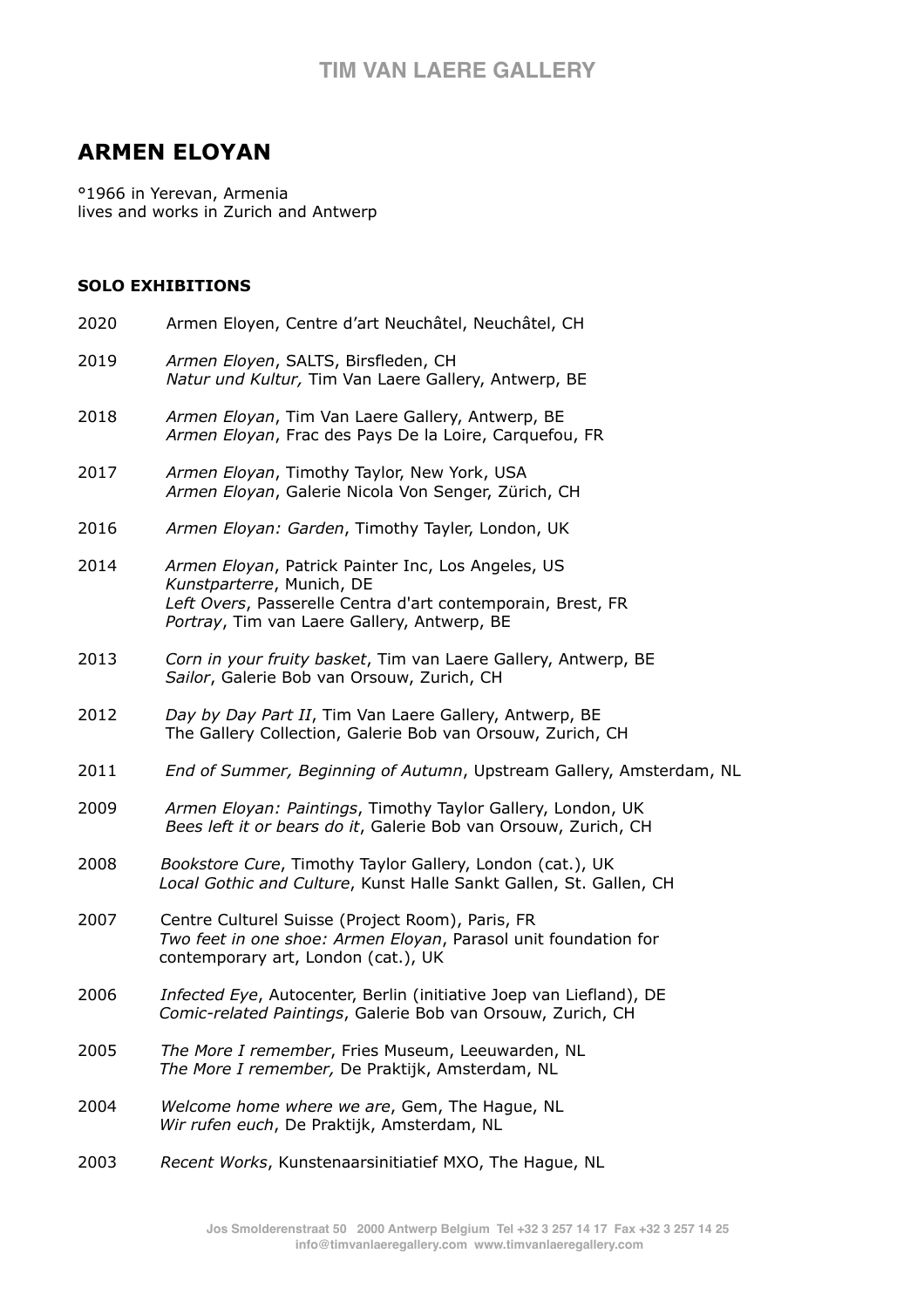## **TIM VAN LAERE GALLERY**

# **ARMEN ELOYAN**

°1966 in Yerevan, Armenia lives and works in Zurich and Antwerp

#### **SOLO EXHIBITIONS**

2020 Armen Eloyen, Centre d'art Neuchâtel, Neuchâtel, CH 2019 *Armen Eloyen*, SALTS, Birsfleden, CH *Natur und Kultur,* Tim Van Laere Gallery, Antwerp, BE 2018 *Armen Eloyan*, Tim Van Laere Gallery, Antwerp, BE *Armen Eloyan*, Frac des Pays De la Loire, Carquefou, FR 2017 *Armen Eloyan*, Timothy Taylor, New York, USA *Armen Eloyan*, Galerie Nicola Von Senger, Zürich, CH 2016 *Armen Eloyan: Garden*, Timothy Tayler, London, UK 2014 *Armen Eloyan*, Patrick Painter Inc, Los Angeles, US *Kunstparterre*, Munich, DE *Left Overs*, Passerelle Centra d'art contemporain, Brest, FR *Portray*, Tim van Laere Gallery, Antwerp, BE 2013 *Corn in your fruity basket*, Tim van Laere Gallery, Antwerp, BE *Sailor*, Galerie Bob van Orsouw, Zurich, CH 2012 *Day by Day Part II*, Tim Van Laere Gallery, Antwerp, BE The Gallery Collection, Galerie Bob van Orsouw, Zurich, CH 2011 *End of Summer, Beginning of Autumn*, Upstream Gallery, Amsterdam, NL 2009 *Armen Eloyan: Paintings*, Timothy Taylor Gallery, London, UK *Bees left it or bears do it*, Galerie Bob van Orsouw, Zurich, CH 2008 *Bookstore Cure*, Timothy Taylor Gallery, London (cat.), UK *Local Gothic and Culture*, Kunst Halle Sankt Gallen, St. Gallen, CH 2007 Centre Culturel Suisse (Project Room), Paris, FR *Two feet in one shoe: Armen Eloyan*, Parasol unit foundation for contemporary art, London (cat.), UK 2006 *Infected Eye*, Autocenter, Berlin (initiative Joep van Liefland), DE *Comic-related Paintings*, Galerie Bob van Orsouw, Zurich, CH 2005 *The More I remember*, Fries Museum, Leeuwarden, NL *The More I remember,* De Praktijk, Amsterdam, NL 2004 *Welcome home where we are*, Gem, The Hague, NL *Wir rufen euch*, De Praktijk, Amsterdam, NL 2003 *Recent Works*, Kunstenaarsinitiatief MXO, The Hague, NL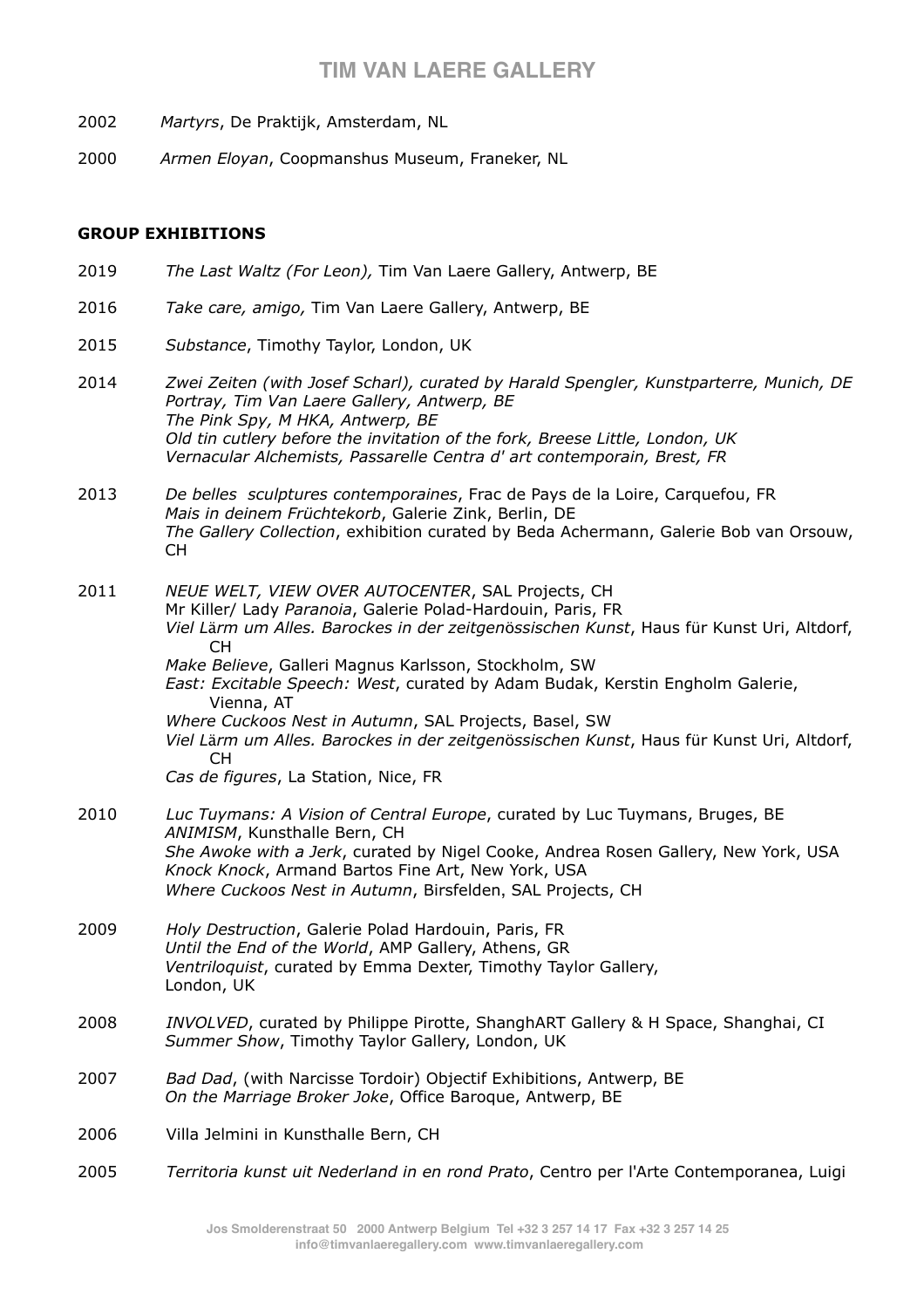## **TIM VAN LAERE GALLERY**

- 2002 *Martyrs*, De Praktijk, Amsterdam, NL
- 2000 *Armen Eloyan*, Coopmanshus Museum, Franeker, NL

#### **GROUP EXHIBITIONS**

- 2019*The Last Waltz (For Leon),* Tim Van Laere Gallery, Antwerp, BE
- 2016*Take care, amigo,* Tim Van Laere Gallery, Antwerp, BE
- 2015 *Substance*, Timothy Taylor, London, UK
- 2014 *Zwei Zeiten (with Josef Scharl), curated by Harald Spengler, Kunstparterre, Munich, DE Portray, Tim Van Laere Gallery, Antwerp, BE The Pink Spy, M HKA, Antwerp, BE Old tin cutlery before the invitation of the fork, Breese Little, London, UK Vernacular Alchemists, Passarelle Centra d' art contemporain, Brest, FR*

2013 *De belles sculptures contemporaines*, Frac de Pays de la Loire, Carquefou, FR *Mais in deinem Früchtekorb*, Galerie Zink, Berlin, DE *The Gallery Collection*, exhibition curated by Beda Achermann, Galerie Bob van Orsouw, CH

2011 *NEUE WELT, VIEW OVER AUTOCENTER*, SAL Projects, CH Mr Killer/ Lady *Paranoia*, Galerie Polad-Hardouin, Paris, FR *Viel L*ä*rm um Alles. Barockes in der zeitgen*ö*ssischen Kunst*, Haus für Kunst Uri, Altdorf, CH *Make Believe*, Galleri Magnus Karlsson, Stockholm, SW *East: Excitable Speech: West*, curated by Adam Budak, Kerstin Engholm Galerie, Vienna, AT

 *Where Cuckoos Nest in Autumn*, SAL Projects, Basel, SW *Viel L*ä*rm um Alles. Barockes in der zeitgen*ö*ssischen Kunst*, Haus für Kunst Uri, Altdorf, CH

*Cas de figures*, La Station, Nice, FR

- 2010 *Luc Tuymans: A Vision of Central Europe*, curated by Luc Tuymans, Bruges, BE *ANIMISM*, Kunsthalle Bern, CH *She Awoke with a Jerk*, curated by Nigel Cooke, Andrea Rosen Gallery, New York, USA *Knock Knock*, Armand Bartos Fine Art, New York, USA *Where Cuckoos Nest in Autumn*, Birsfelden, SAL Projects, CH
- 2009 *Holy Destruction*, Galerie Polad Hardouin, Paris, FR *Until the End of the World*, AMP Gallery, Athens, GR *Ventriloquist*, curated by Emma Dexter, Timothy Taylor Gallery, London, UK
- 2008 *INVOLVED*, curated by Philippe Pirotte, ShanghART Gallery & H Space, Shanghai, CI *Summer Show*, Timothy Taylor Gallery, London, UK
- 2007 *Bad Dad*, (with Narcisse Tordoir) Objectif Exhibitions, Antwerp, BE *On the Marriage Broker Joke*, Office Baroque, Antwerp, BE
- 2006 Villa Jelmini in Kunsthalle Bern, CH
- 2005 *Territoria kunst uit Nederland in en rond Prato*, Centro per l'Arte Contemporanea, Luigi